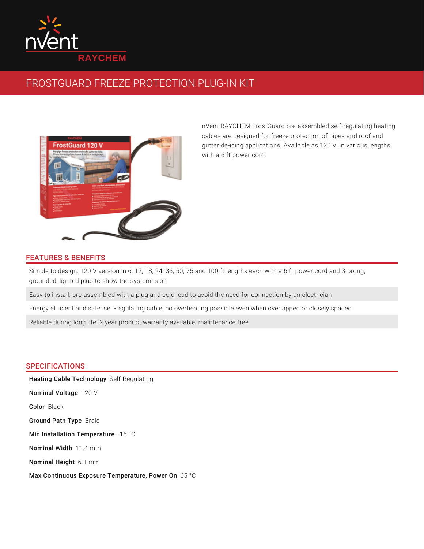

# FROSTGUARD FREEZE PROTECTION PLUG-IN KIT



nVent RAYCHEM FrostGuard pre-assembled self-regulating heating cables are designed for freeze protection of pipes and roof and gutter de-icing applications. Available as 120 V, in various lengths with a 6 ft power cord.

## FEATURES & BENEFITS

Simple to design: 120 V version in 6, 12, 18, 24, 36, 50, 75 and 100 ft lengths each with a 6 ft power cord and 3-prong, grounded, lighted plug to show the system is on

Easy to install: pre-assembled with a plug and cold lead to avoid the need for connection by an electrician

Energy efficient and safe: self-regulating cable, no overheating possible even when overlapped or closely spaced

Reliable during long life: 2 year product warranty available, maintenance free

### SPECIFICATIONS

Heating Cable Technology Self-Regulating **Nominal Voltage** 120 V Color Black Ground Path Type Braid Min Installation Temperature  $\,$  -15  $\,^{\circ}\mathrm{C}$ Nominal Width 11.4 mm Nominal Height 6.1 mm Max Continuous Exposure Temperature, Power On 65 °C